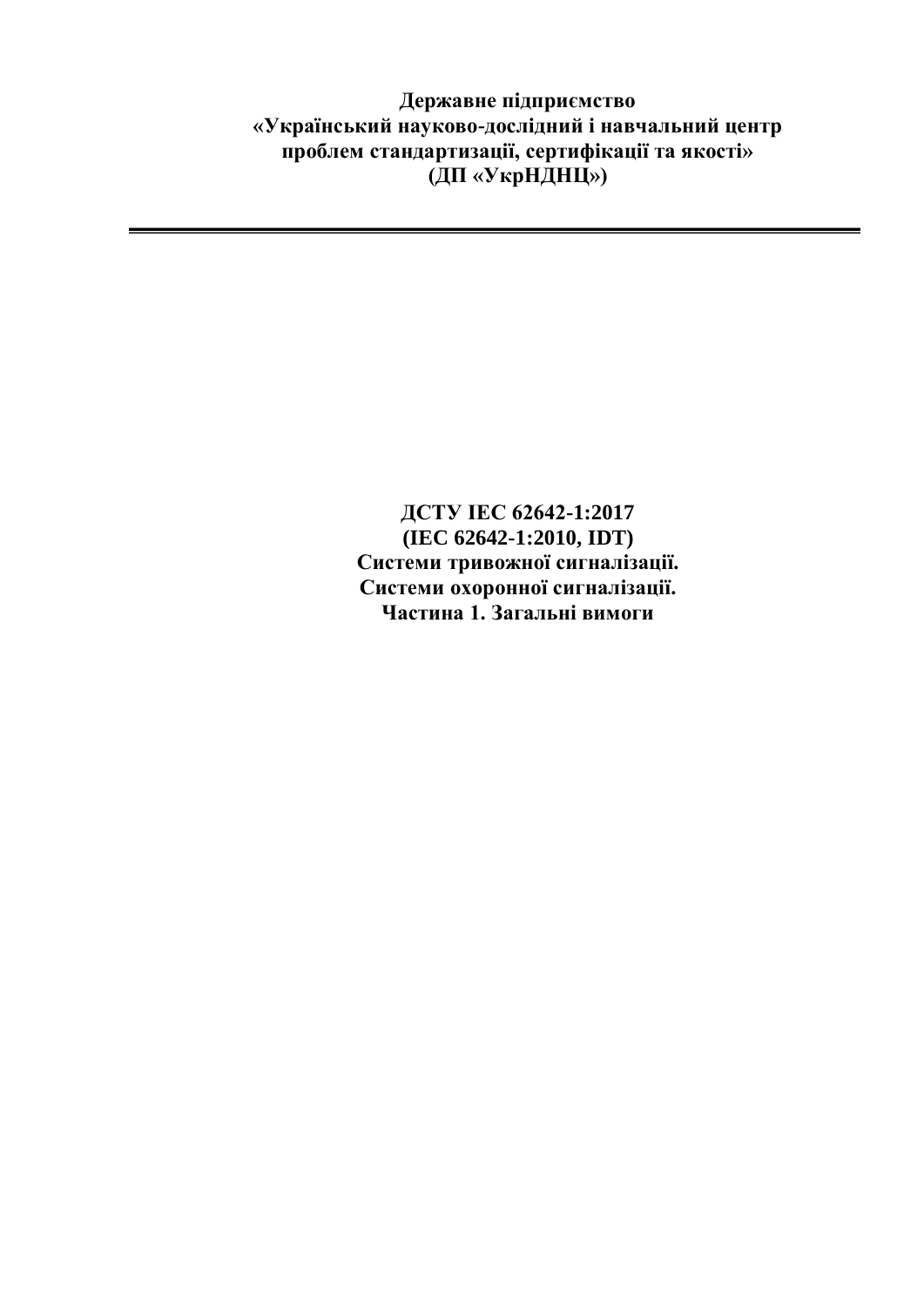**Державне підприємство «Український науково-дослідний і навчальний центр проблем стандартизації, сертифікації та якості» (ДП «УкрНДНЦ»)**

> **ДСТУ IEC 62642-1:2017 (IEC 62642-1:2010, IDT) Системи тривожної сигналізації. Системи охоронної сигналізації. Частина 1. Загальні вимоги**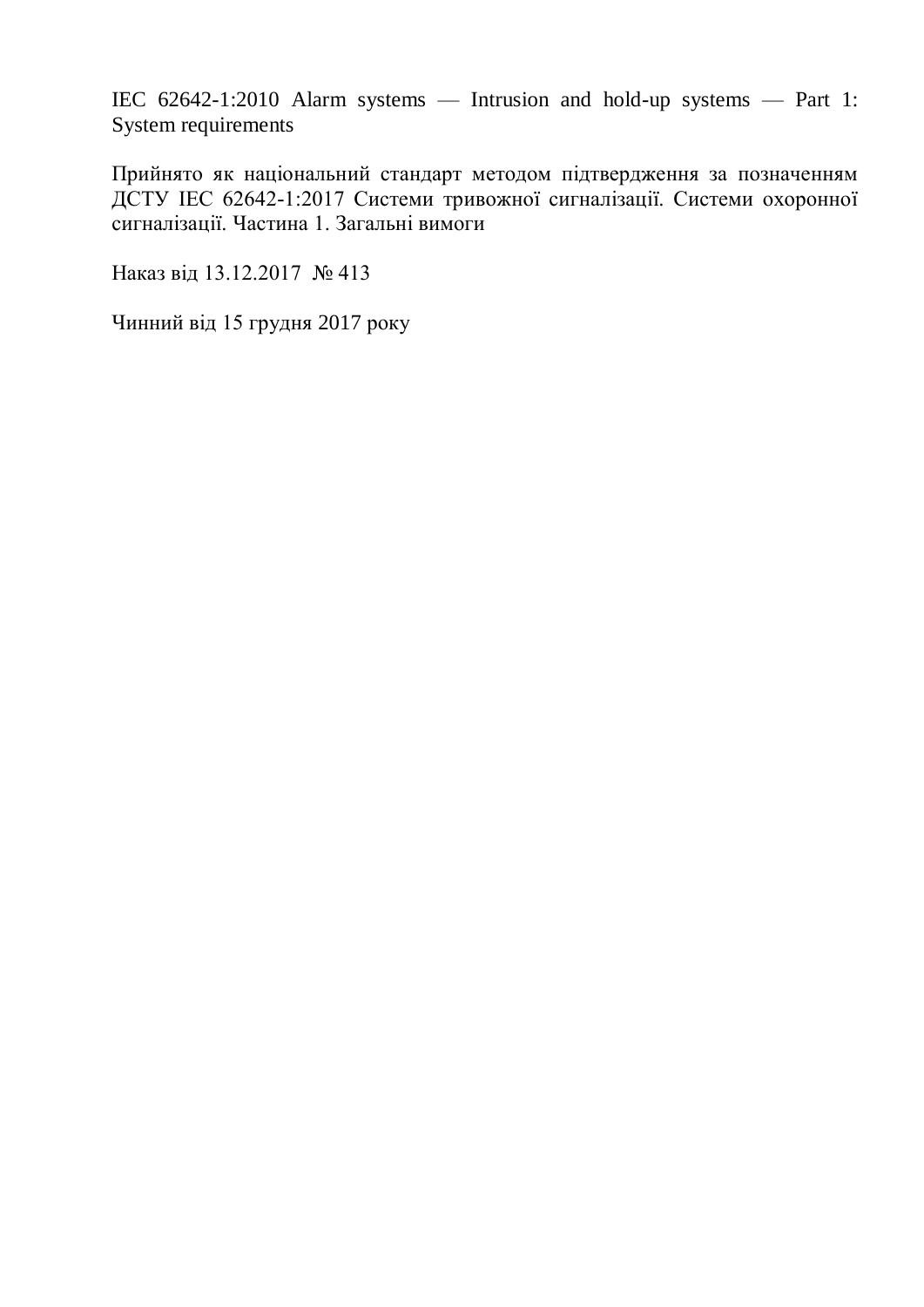IEC 62642-1:2010 Alarm systems — Intrusion and hold-up systems — Part 1: System requirements

Прийнято як національний стандарт методом підтвердження за позначенням ДСТУ IEC 62642-1:2017 Системи тривожної сигналізації. Системи охоронної сигналізації. Частина 1. Загальні вимоги

Наказ від 13.12.2017 № 413

Чинний від 15 грудня 2017 року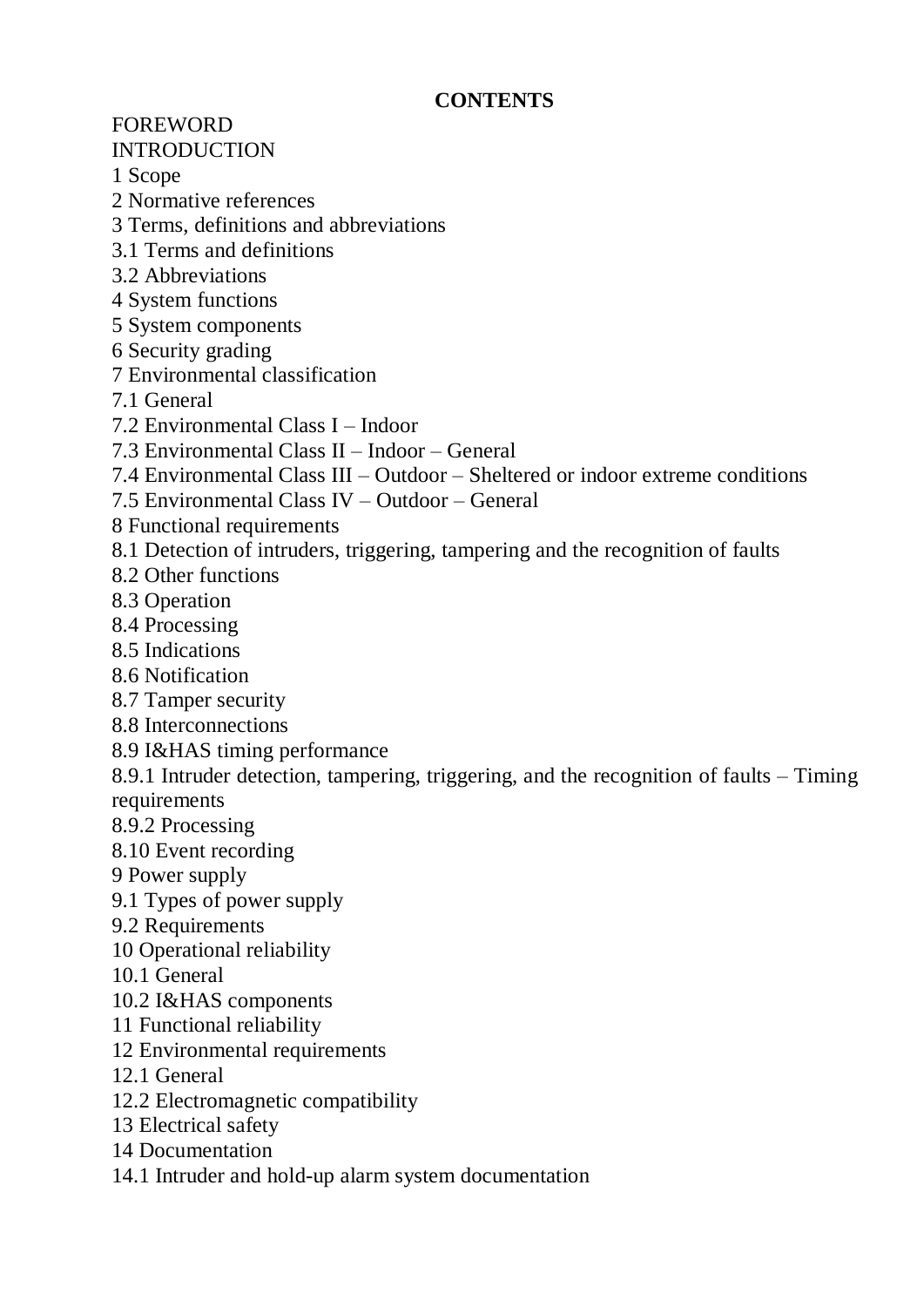## **CONTENTS**

## FOREWORD

INTRODUCTION

1 Scope

2 Normative references

- 3 Terms, definitions and abbreviations
- 3.1 Terms and definitions
- 3.2 Abbreviations
- 4 System functions
- 5 System components
- 6 Security grading
- 7 Environmental classification
- 7.1 General
- 7.2 Environmental Class I Indoor
- 7.3 Environmental Class II Indoor General
- 7.4 Environmental Class III Outdoor Sheltered or indoor extreme conditions
- 7.5 Environmental Class IV Outdoor General
- 8 Functional requirements
- 8.1 Detection of intruders, triggering, tampering and the recognition of faults
- 8.2 Other functions
- 8.3 Operation
- 8.4 Processing
- 8.5 Indications
- 8.6 Notification
- 8.7 Tamper security
- 8.8 Interconnections
- 8.9 I&HAS timing performance

8.9.1 Intruder detection, tampering, triggering, and the recognition of faults – Timing requirements

- 8.9.2 Processing
- 8.10 Event recording
- 9 Power supply
- 9.1 Types of power supply
- 9.2 Requirements
- 10 Operational reliability
- 10.1 General
- 10.2 I&HAS components
- 11 Functional reliability
- 12 Environmental requirements
- 12.1 General
- 12.2 Electromagnetic compatibility
- 13 Electrical safety
- 14 Documentation
- 14.1 Intruder and hold-up alarm system documentation